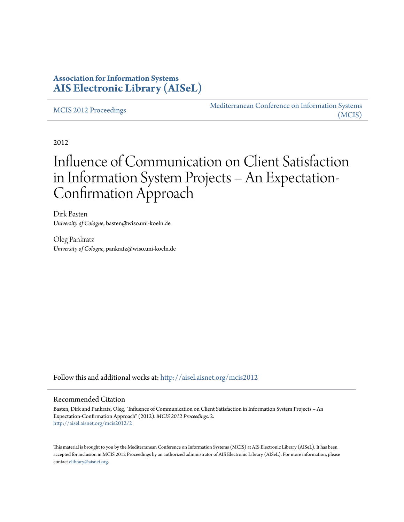# **Association for Information Systems [AIS Electronic Library \(AISeL\)](http://aisel.aisnet.org?utm_source=aisel.aisnet.org%2Fmcis2012%2F2&utm_medium=PDF&utm_campaign=PDFCoverPages)**

[MCIS 2012 Proceedings](http://aisel.aisnet.org/mcis2012?utm_source=aisel.aisnet.org%2Fmcis2012%2F2&utm_medium=PDF&utm_campaign=PDFCoverPages)

[Mediterranean Conference on Information Systems](http://aisel.aisnet.org/mcis?utm_source=aisel.aisnet.org%2Fmcis2012%2F2&utm_medium=PDF&utm_campaign=PDFCoverPages) [\(MCIS\)](http://aisel.aisnet.org/mcis?utm_source=aisel.aisnet.org%2Fmcis2012%2F2&utm_medium=PDF&utm_campaign=PDFCoverPages)

2012

# Influence of Communication on Client Satisfaction in Information System Projects – An Expectation-Confirmation Approach

Dirk Basten *University of Cologne*, basten@wiso.uni-koeln.de

Oleg Pankratz *University of Cologne*, pankratz@wiso.uni-koeln.de

Follow this and additional works at: [http://aisel.aisnet.org/mcis2012](http://aisel.aisnet.org/mcis2012?utm_source=aisel.aisnet.org%2Fmcis2012%2F2&utm_medium=PDF&utm_campaign=PDFCoverPages)

#### Recommended Citation

Basten, Dirk and Pankratz, Oleg, "Influence of Communication on Client Satisfaction in Information System Projects – An Expectation-Confirmation Approach" (2012). *MCIS 2012 Proceedings*. 2. [http://aisel.aisnet.org/mcis2012/2](http://aisel.aisnet.org/mcis2012/2?utm_source=aisel.aisnet.org%2Fmcis2012%2F2&utm_medium=PDF&utm_campaign=PDFCoverPages)

This material is brought to you by the Mediterranean Conference on Information Systems (MCIS) at AIS Electronic Library (AISeL). It has been accepted for inclusion in MCIS 2012 Proceedings by an authorized administrator of AIS Electronic Library (AISeL). For more information, please contact [elibrary@aisnet.org.](mailto:elibrary@aisnet.org%3E)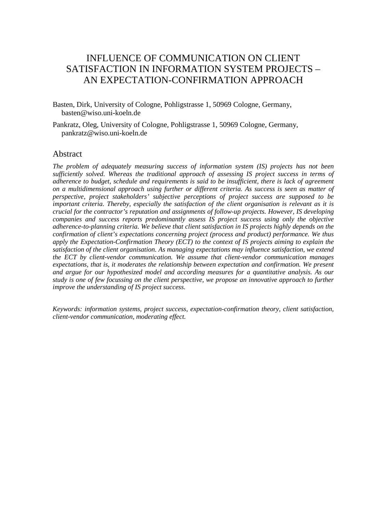# INFLUENCE OF COMMUNICATION ON CLIENT SATISFACTION IN INFORMATION SYSTEM PROJECTS – AN EXPECTATION-CONFIRMATION APPROACH

Basten, Dirk, University of Cologne, Pohligstrasse 1, 50969 Cologne, Germany, basten@wiso.uni-koeln.de

Pankratz, Oleg, University of Cologne, Pohligstrasse 1, 50969 Cologne, Germany, pankratz@wiso.uni-koeln.de

#### Abstract

*The problem of adequately measuring success of information system (IS) projects has not been sufficiently solved. Whereas the traditional approach of assessing IS project success in terms of adherence to budget, schedule and requirements is said to be insufficient, there is lack of agreement on a multidimensional approach using further or different criteria. As success is seen as matter of perspective, project stakeholders' subjective perceptions of project success are supposed to be important criteria. Thereby, especially the satisfaction of the client organisation is relevant as it is crucial for the contractor's reputation and assignments of follow-up projects. However, IS developing companies and success reports predominantly assess IS project success using only the objective adherence-to-planning criteria. We believe that client satisfaction in IS projects highly depends on the confirmation of client's expectations concerning project (process and product) performance. We thus apply the Expectation-Confirmation Theory (ECT) to the context of IS projects aiming to explain the satisfaction of the client organisation. As managing expectations may influence satisfaction, we extend the ECT by client-vendor communication. We assume that client-vendor communication manages expectations, that is, it moderates the relationship between expectation and confirmation. We present and argue for our hypothesized model and according measures for a quantitative analysis. As our study is one of few focussing on the client perspective, we propose an innovative approach to further improve the understanding of IS project success.*

*Keywords: information systems, project success, expectation-confirmation theory, client satisfaction, client-vendor communication, moderating effect.*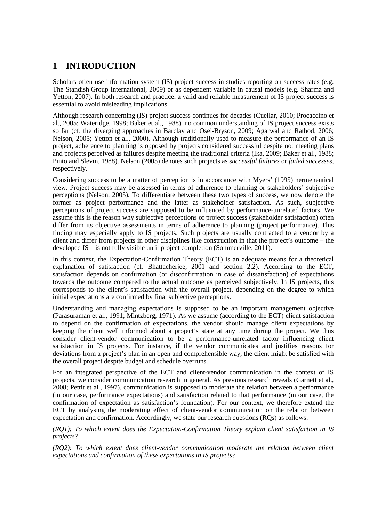# **1 INTRODUCTION**

Scholars often use information system (IS) project success in studies reporting on success rates (e.g. The Standish Group International, 2009) or as dependent variable in causal models (e.g. Sharma and Yetton, 2007). In both research and practice, a valid and reliable measurement of IS project success is essential to avoid misleading implications.

Although research concerning (IS) project success continues for decades (Cuellar, 2010; Procaccino et al., 2005; Wateridge, 1998; Baker et al., 1988), no common understanding of IS project success exists so far (cf. the diverging approaches in Barclay and Osei-Bryson, 2009; Agarwal and Rathod, 2006; Nelson, 2005; Yetton et al., 2000). Although traditionally used to measure the performance of an IS project, adherence to planning is opposed by projects considered successful despite not meeting plans and projects perceived as failures despite meeting the traditional criteria (Ika, 2009; Baker et al., 1988; Pinto and Slevin, 1988). Nelson (2005) denotes such projects as *successful failures* or *failed successes*, respectively.

Considering success to be a matter of perception is in accordance with Myers' (1995) hermeneutical view. Project success may be assessed in terms of adherence to planning or stakeholders' subjective perceptions (Nelson, 2005). To differentiate between these two types of success, we now denote the former as project performance and the latter as stakeholder satisfaction. As such, subjective perceptions of project success are supposed to be influenced by performance-unrelated factors. We assume this is the reason why subjective perceptions of project success (stakeholder satisfaction) often differ from its objective assessments in terms of adherence to planning (project performance). This finding may especially apply to IS projects. Such projects are usually contracted to a vendor by a client and differ from projects in other disciplines like construction in that the project's outcome – the developed IS – is not fully visible until project completion (Sommerville, 2011).

In this context, the Expectation-Confirmation Theory (ECT) is an adequate means for a theoretical explanation of satisfaction (cf. Bhattacherjee, 2001 and section 2.2). According to the ECT, satisfaction depends on confirmation (or disconfirmation in case of dissatisfaction) of expectations towards the outcome compared to the actual outcome as perceived subjectively. In IS projects, this corresponds to the client's satisfaction with the overall project, depending on the degree to which initial expectations are confirmed by final subjective perceptions.

Understanding and managing expectations is supposed to be an important management objective (Parasuraman et al., 1991; Mintzberg, 1971). As we assume (according to the ECT) client satisfaction to depend on the confirmation of expectations, the vendor should manage client expectations by keeping the client well informed about a project's state at any time during the project. We thus consider client-vendor communication to be a performance-unrelated factor influencing client satisfaction in IS projects. For instance, if the vendor communicates and justifies reasons for deviations from a project's plan in an open and comprehensible way, the client might be satisfied with the overall project despite budget and schedule overruns.

For an integrated perspective of the ECT and client-vendor communication in the context of IS projects, we consider communication research in general. As previous research reveals (Garnett et al., 2008; Pettit et al., 1997), communication is supposed to moderate the relation between a performance (in our case, performance expectations) and satisfaction related to that performance (in our case, the confirmation of expectation as satisfaction's foundation). For our context, we therefore extend the ECT by analysing the moderating effect of client-vendor communication on the relation between expectation and confirmation. Accordingly, we state our research questions (RQs) as follows:

*(RQ1): To which extent does the Expectation-Confirmation Theory explain client satisfaction in IS projects?*

*(RQ2): To which extent does client-vendor communication moderate the relation between client expectations and confirmation of these expectations in IS projects?*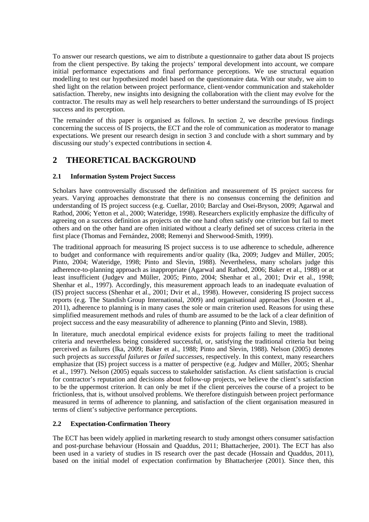To answer our research questions, we aim to distribute a questionnaire to gather data about IS projects from the client perspective. By taking the projects' temporal development into account, we compare initial performance expectations and final performance perceptions. We use structural equation modelling to test our hypothesized model based on the questionnaire data. With our study, we aim to shed light on the relation between project performance, client-vendor communication and stakeholder satisfaction. Thereby, new insights into designing the collaboration with the client may evolve for the contractor. The results may as well help researchers to better understand the surroundings of IS project success and its perception.

The remainder of this paper is organised as follows. In section 2, we describe previous findings concerning the success of IS projects, the ECT and the role of communication as moderator to manage expectations. We present our research design in section 3 and conclude with a short summary and by discussing our study's expected contributions in section 4.

# **2 THEORETICAL BACKGROUND**

## **2.1 Information System Project Success**

Scholars have controversially discussed the definition and measurement of IS project success for years. Varying approaches demonstrate that there is no consensus concerning the definition and understanding of IS project success (e.g. Cuellar, 2010; Barclay and Osei-Bryson, 2009; Agarwal and Rathod, 2006; Yetton et al., 2000; Wateridge, 1998). Researchers explicitly emphasize the difficulty of agreeing on a success definition as projects on the one hand often satisfy one criterion but fail to meet others and on the other hand are often initiated without a clearly defined set of success criteria in the first place (Thomas and Fernández, 2008; Remenyi and Sherwood-Smith, 1999).

The traditional approach for measuring IS project success is to use adherence to schedule, adherence to budget and conformance with requirements and/or quality (Ika, 2009; Judgev and Müller, 2005; Pinto, 2004; Wateridge, 1998; Pinto and Slevin, 1988). Nevertheless, many scholars judge this adherence-to-planning approach as inappropriate (Agarwal and Rathod, 2006; Baker et al., 1988) or at least insufficient (Judgev and Müller, 2005; Pinto, 2004; Shenhar et al., 2001; Dvir et al., 1998; Shenhar et al., 1997). Accordingly, this measurement approach leads to an inadequate evaluation of (IS) project success (Shenhar et al., 2001; Dvir et al., 1998). However, considering IS project success reports (e.g. The Standish Group International, 2009) and organisational approaches (Joosten et al., 2011), adherence to planning is in many cases the sole or main criterion used. Reasons for using these simplified measurement methods and rules of thumb are assumed to be the lack of a clear definition of project success and the easy measurability of adherence to planning (Pinto and Slevin, 1988).

In literature, much anecdotal empirical evidence exists for projects failing to meet the traditional criteria and nevertheless being considered successful, or, satisfying the traditional criteria but being perceived as failures (Ika, 2009; Baker et al., 1988; Pinto and Slevin, 1988). Nelson (2005) denotes such projects as *successful failures* or *failed successes*, respectively. In this context, many researchers emphasize that (IS) project success is a matter of perspective (e.g. Judgev and Müller, 2005; Shenhar et al., 1997). Nelson (2005) equals success to stakeholder satisfaction. As client satisfaction is crucial for contractor's reputation and decisions about follow-up projects, we believe the client's satisfaction to be the uppermost criterion. It can only be met if the client perceives the course of a project to be frictionless, that is, without unsolved problems. We therefore distinguish between project performance measured in terms of adherence to planning, and satisfaction of the client organisation measured in terms of client's subjective performance perceptions.

## **2.2 Expectation-Confirmation Theory**

The ECT has been widely applied in marketing research to study amongst others consumer satisfaction and post-purchase behaviour (Hossain and Quaddus, 2011; Bhattacherjee, 2001). The ECT has also been used in a variety of studies in IS research over the past decade (Hossain and Quaddus, 2011), based on the initial model of expectation confirmation by Bhattacherjee (2001). Since then, this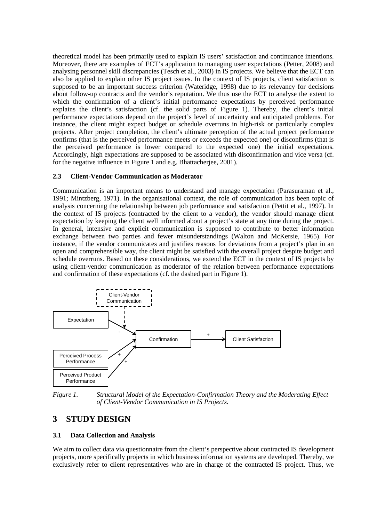theoretical model has been primarily used to explain IS users' satisfaction and continuance intentions. Moreover, there are examples of ECT's application to managing user expectations (Petter, 2008) and analysing personnel skill discrepancies (Tesch et al., 2003) in IS projects. We believe that the ECT can also be applied to explain other IS project issues. In the context of IS projects, client satisfaction is supposed to be an important success criterion (Wateridge, 1998) due to its relevancy for decisions about follow-up contracts and the vendor's reputation. We thus use the ECT to analyse the extent to which the confirmation of a client's initial performance expectations by perceived performance explains the client's satisfaction (cf. the solid parts of Figure 1). Thereby, the client's initial performance expectations depend on the project's level of uncertainty and anticipated problems. For instance, the client might expect budget or schedule overruns in high-risk or particularly complex projects. After project completion, the client's ultimate perception of the actual project performance confirms (that is the perceived performance meets or exceeds the expected one) or disconfirms (that is the perceived performance is lower compared to the expected one) the initial expectations. Accordingly, high expectations are supposed to be associated with disconfirmation and vice versa (cf. for the negative influence in Figure 1 and e.g. Bhattacherjee, 2001).

#### **2.3 Client-Vendor Communication as Moderator**

Communication is an important means to understand and manage expectation (Parasuraman et al., 1991; Mintzberg, 1971). In the organisational context, the role of communication has been topic of analysis concerning the relationship between job performance and satisfaction (Pettit et al., 1997). In the context of IS projects (contracted by the client to a vendor), the vendor should manage client expectation by keeping the client well informed about a project's state at any time during the project. In general, intensive and explicit communication is supposed to contribute to better information exchange between two parties and fewer misunderstandings (Walton and McKersie, 1965). For instance, if the vendor communicates and justifies reasons for deviations from a project's plan in an open and comprehensible way, the client might be satisfied with the overall project despite budget and schedule overruns. Based on these considerations, we extend the ECT in the context of IS projects by using client-vendor communication as moderator of the relation between performance expectations and confirmation of these expectations (cf. the dashed part in Figure 1).



*Figure 1. Structural Model of the Expectation-Confirmation Theory and the Moderating Effect of Client-Vendor Communication in IS Projects.*

# **3 STUDY DESIGN**

## **3.1 Data Collection and Analysis**

We aim to collect data via questionnaire from the client's perspective about contracted IS development projects, more specifically projects in which business information systems are developed. Thereby, we exclusively refer to client representatives who are in charge of the contracted IS project. Thus, we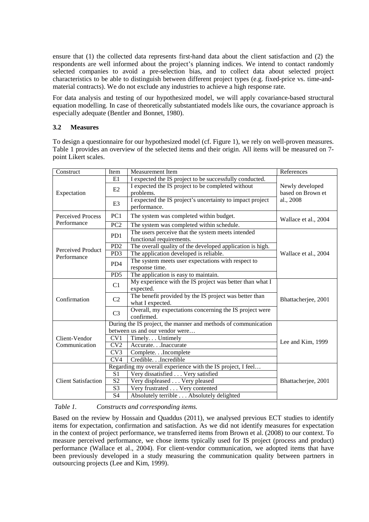ensure that (1) the collected data represents first-hand data about the client satisfaction and (2) the respondents are well informed about the project's planning indices. We intend to contact randomly selected companies to avoid a pre-selection bias, and to collect data about selected project characteristics to be able to distinguish between different project types (e.g. fixed-price vs. time-andmaterial contracts). We do not exclude any industries to achieve a high response rate.

For data analysis and testing of our hypothesized model, we will apply covariance-based structural equation modelling. In case of theoretically substantiated models like ours, the covariance approach is especially adequate (Bentler and Bonnet, 1980).

#### **3.2 Measures**

To design a questionnaire for our hypothesized model (cf. Figure 1), we rely on well-proven measures. Table 1 provides an overview of the selected items and their origin. All items will be measured on 7 point Likert scales.

| Construct                               | Item                                                           | Measurement Item                                                              | References                                        |
|-----------------------------------------|----------------------------------------------------------------|-------------------------------------------------------------------------------|---------------------------------------------------|
| Expectation                             | E1                                                             | I expected the IS project to be successfully conducted.                       | Newly developed<br>based on Brown et<br>al., 2008 |
|                                         | E2                                                             | I expected the IS project to be completed without<br>problems.                |                                                   |
|                                         | E <sub>3</sub>                                                 | I expected the IS project's uncertainty to impact project<br>performance.     |                                                   |
| <b>Perceived Process</b><br>Performance | PC1                                                            | The system was completed within budget.                                       | Wallace et al., 2004                              |
|                                         | PC <sub>2</sub>                                                | The system was completed within schedule.                                     |                                                   |
| Perceived Product<br>Performance        | PD1                                                            | The users perceive that the system meets intended<br>functional requirements. | Wallace et al., 2004                              |
|                                         | PD <sub>2</sub>                                                | The overall quality of the developed application is high.                     |                                                   |
|                                         | PD <sub>3</sub>                                                | The application developed is reliable.                                        |                                                   |
|                                         | P <sub>D</sub> <sub>4</sub>                                    | The system meets user expectations with respect to                            |                                                   |
|                                         |                                                                | response time.                                                                |                                                   |
|                                         | PD <sub>5</sub>                                                | The application is easy to maintain.                                          |                                                   |
| Confirmation                            | C1                                                             | My experience with the IS project was better than what I<br>expected.         | Bhattacherjee, 2001                               |
|                                         | C <sub>2</sub>                                                 | The benefit provided by the IS project was better than<br>what I expected.    |                                                   |
|                                         | C <sub>3</sub>                                                 | Overall, my expectations concerning the IS project were<br>confirmed.         |                                                   |
|                                         | During the IS project, the manner and methods of communication |                                                                               |                                                   |
| Client-Vendor<br>Communication          |                                                                | between us and our vendor were                                                | Lee and Kim, 1999                                 |
|                                         | CV <sub>1</sub>                                                | Timely. Untimely                                                              |                                                   |
|                                         | CV2                                                            | Accurate. Inaccurate                                                          |                                                   |
|                                         | CV3                                                            | Complete. Incomplete                                                          |                                                   |
|                                         | $\overline{\text{CV4}}$                                        | Credible. Incredible                                                          |                                                   |
| <b>Client Satisfaction</b>              |                                                                | Regarding my overall experience with the IS project, I feel                   | Bhattacherjee, 2001                               |
|                                         | S <sub>1</sub>                                                 | Very dissatisfied Very satisfied                                              |                                                   |
|                                         | S <sub>2</sub>                                                 | Very displeased Very pleased                                                  |                                                   |
|                                         | S <sub>3</sub>                                                 | Very frustrated Very contented                                                |                                                   |
|                                         | S4                                                             | Absolutely terrible Absolutely delighted                                      |                                                   |

#### *Table 1. Constructs and corresponding items.*

Based on the review by Hossain and Quaddus (2011), we analysed previous ECT studies to identify items for expectation, confirmation and satisfaction. As we did not identify measures for expectation in the context of project performance, we transferred items from Brown et al. (2008) to our context. To measure perceived performance, we chose items typically used for IS project (process and product) performance (Wallace et al., 2004). For client-vendor communication, we adopted items that have been previously developed in a study measuring the communication quality between partners in outsourcing projects (Lee and Kim, 1999).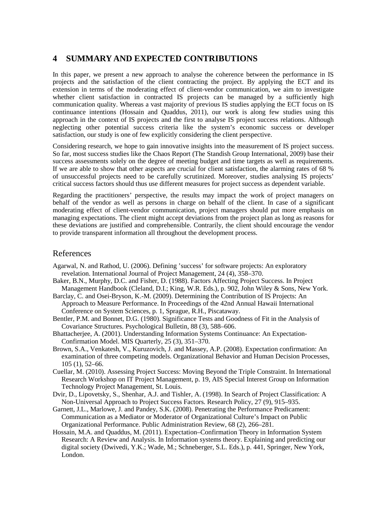## **4 SUMMARY AND EXPECTED CONTRIBUTIONS**

In this paper, we present a new approach to analyse the coherence between the performance in IS projects and the satisfaction of the client contracting the project. By applying the ECT and its extension in terms of the moderating effect of client-vendor communication, we aim to investigate whether client satisfaction in contracted IS projects can be managed by a sufficiently high communication quality. Whereas a vast majority of previous IS studies applying the ECT focus on IS continuance intentions (Hossain and Quaddus, 2011), our work is along few studies using this approach in the context of IS projects and the first to analyse IS project success relations. Although neglecting other potential success criteria like the system's economic success or developer satisfaction, our study is one of few explicitly considering the client perspective.

Considering research, we hope to gain innovative insights into the measurement of IS project success. So far, most success studies like the Chaos Report (The Standish Group International, 2009) base their success assessments solely on the degree of meeting budget and time targets as well as requirements. If we are able to show that other aspects are crucial for client satisfaction, the alarming rates of 68 % of unsuccessful projects need to be carefully scrutinized. Moreover, studies analysing IS projects' critical success factors should thus use different measures for project success as dependent variable.

Regarding the practitioners' perspective, the results may impact the work of project managers on behalf of the vendor as well as persons in charge on behalf of the client. In case of a significant moderating effect of client-vendor communication, project managers should put more emphasis on managing expectations. The client might accept deviations from the project plan as long as reasons for these deviations are justified and comprehensible. Contrarily, the client should encourage the vendor to provide transparent information all throughout the development process.

## References

- Agarwal, N. and Rathod, U. (2006). Defining 'success' for software projects: An exploratory revelation. International Journal of Project Management, 24 (4), 358–370.
- Baker, B.N., Murphy, D.C. and Fisher, D. (1988). Factors Affecting Project Success. In Project Management Handbook (Cleland, D.I.; King, W.R. Eds.), p. 902, John Wiley & Sons, New York.
- Barclay, C. and Osei-Bryson, K.-M. (2009). Determining the Contribution of IS Projects: An Approach to Measure Performance. In Proceedings of the 42nd Annual Hawaii International Conference on System Sciences, p. 1, Sprague, R.H., Piscataway.
- Bentler, P.M. and Bonnet, D.G. (1980). Significance Tests and Goodness of Fit in the Analysis of Covariance Structures. Psychological Bulletin, 88 (3), 588–606.
- Bhattacherjee, A. (2001). Understanding Information Systems Continuance: An Expectation-Confirmation Model. MIS Quarterly, 25 (3), 351–370.
- Brown, S.A., Venkatesh, V., Kuruzovich, J. and Massey, A.P. (2008). Expectation confirmation: An examination of three competing models. Organizational Behavior and Human Decision Processes, 105 (1), 52–66.
- Cuellar, M. (2010). Assessing Project Success: Moving Beyond the Triple Constraint. In International Research Workshop on IT Project Management, p. 19, AIS Special Interest Group on Information Technology Project Management, St. Louis.
- Dvir, D., Lipovetsky, S., Shenhar, A.J. and Tishler, A. (1998). In Search of Project Classification: A Non-Universal Approach to Project Success Factors. Research Policy, 27 (9), 915–935.
- Garnett, J.L., Marlowe, J. and Pandey, S.K. (2008). Penetrating the Performance Predicament: Communication as a Mediator or Moderator of Organizational Culture's Impact on Public Organizational Performance. Public Administration Review, 68 (2), 266–281.
- Hossain, M.A. and Quaddus, M. (2011). Expectation–Confirmation Theory in Information System Research: A Review and Analysis. In Information systems theory. Explaining and predicting our digital society (Dwivedi, Y.K.; Wade, M.; Schneberger, S.L. Eds.), p. 441, Springer, New York, London.